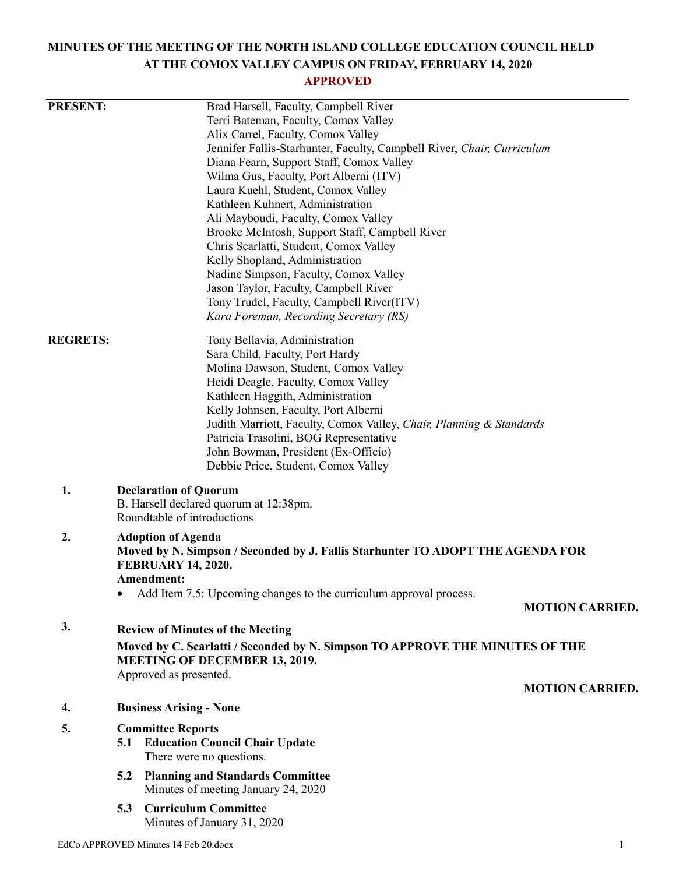# **MINUTES OF THE MEETING OF THE NORTH ISLAND COLLEGE EDUCATION COUNCIL HELD AT THE COMOX VALLEY CAMPUS ON FRIDAY, FEBRUARY 14, 2020**

# **APPROVED**

| <b>PRESENT:</b> | Brad Harsell, Faculty, Campbell River                                               |                        |
|-----------------|-------------------------------------------------------------------------------------|------------------------|
|                 | Terri Bateman, Faculty, Comox Valley                                                |                        |
|                 | Alix Carrel, Faculty, Comox Valley                                                  |                        |
|                 | Jennifer Fallis-Starhunter, Faculty, Campbell River, Chair, Curriculum              |                        |
|                 | Diana Fearn, Support Staff, Comox Valley                                            |                        |
|                 | Wilma Gus, Faculty, Port Alberni (ITV)                                              |                        |
|                 | Laura Kuehl, Student, Comox Valley                                                  |                        |
|                 | Kathleen Kuhnert, Administration                                                    |                        |
|                 | Ali Mayboudi, Faculty, Comox Valley                                                 |                        |
|                 | Brooke McIntosh, Support Staff, Campbell River                                      |                        |
|                 | Chris Scarlatti, Student, Comox Valley                                              |                        |
|                 | Kelly Shopland, Administration                                                      |                        |
|                 | Nadine Simpson, Faculty, Comox Valley                                               |                        |
|                 | Jason Taylor, Faculty, Campbell River                                               |                        |
|                 | Tony Trudel, Faculty, Campbell River(ITV)<br>Kara Foreman, Recording Secretary (RS) |                        |
|                 |                                                                                     |                        |
| <b>REGRETS:</b> | Tony Bellavia, Administration                                                       |                        |
|                 | Sara Child, Faculty, Port Hardy                                                     |                        |
|                 | Molina Dawson, Student, Comox Valley                                                |                        |
|                 | Heidi Deagle, Faculty, Comox Valley                                                 |                        |
|                 | Kathleen Haggith, Administration                                                    |                        |
|                 | Kelly Johnsen, Faculty, Port Alberni                                                |                        |
|                 | Judith Marriott, Faculty, Comox Valley, Chair, Planning & Standards                 |                        |
|                 | Patricia Trasolini, BOG Representative                                              |                        |
|                 | John Bowman, President (Ex-Officio)                                                 |                        |
|                 | Debbie Price, Student, Comox Valley                                                 |                        |
| 1.              | <b>Declaration of Quorum</b>                                                        |                        |
|                 | B. Harsell declared quorum at 12:38pm.                                              |                        |
|                 | Roundtable of introductions                                                         |                        |
| 2.              | <b>Adoption of Agenda</b>                                                           |                        |
|                 | Moved by N. Simpson / Seconded by J. Fallis Starhunter TO ADOPT THE AGENDA FOR      |                        |
|                 | <b>FEBRUARY 14, 2020.</b>                                                           |                        |
|                 | Amendment:                                                                          |                        |
|                 | Add Item 7.5: Upcoming changes to the curriculum approval process.                  |                        |
|                 |                                                                                     | <b>MOTION CARRIED.</b> |
|                 |                                                                                     |                        |
| 3.              | <b>Review of Minutes of the Meeting</b>                                             |                        |
|                 | Moved by C. Scarlatti / Seconded by N. Simpson TO APPROVE THE MINUTES OF THE        |                        |
|                 | <b>MEETING OF DECEMBER 13, 2019.</b>                                                |                        |
|                 | Approved as presented.                                                              |                        |
|                 |                                                                                     | <b>MOTION CARRIED.</b> |
| 4.              | <b>Business Arising - None</b>                                                      |                        |
| 5.              |                                                                                     |                        |
|                 | <b>Committee Reports</b><br><b>Education Council Chair Update</b><br>5.1            |                        |
|                 | There were no questions.                                                            |                        |
|                 |                                                                                     |                        |
|                 | <b>Planning and Standards Committee</b><br>5.2                                      |                        |
|                 | Minutes of meeting January 24, 2020                                                 |                        |
|                 | <b>Curriculum Committee</b><br>5.3                                                  |                        |
|                 | Minutes of January 31, 2020                                                         |                        |
|                 |                                                                                     |                        |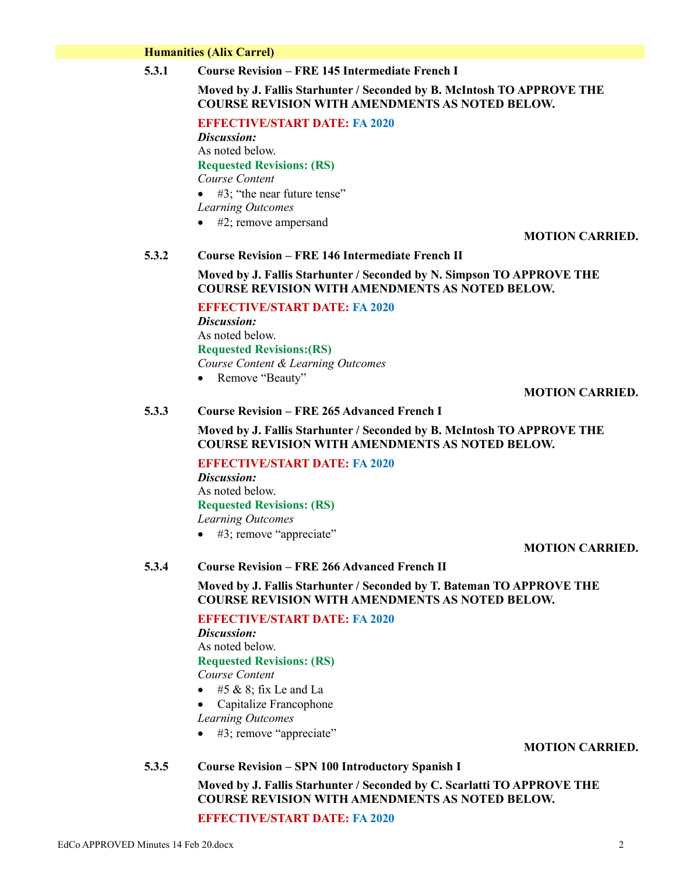#### **Humanities (Alix Carrel)**

**5.3.1 Course Revision – FRE 145 Intermediate French I**

# **Moved by J. Fallis Starhunter / Seconded by B. McIntosh TO APPROVE THE COURSE REVISION WITH AMENDMENTS AS NOTED BELOW.**

**EFFECTIVE/START DATE: FA 2020**

*Discussion:* As noted below. **Requested Revisions: (RS)** *Course Content*

#3; "the near future tense"

*Learning Outcomes*

• #2; remove ampersand

# **MOTION CARRIED.**

# **5.3.2 Course Revision – FRE 146 Intermediate French II**

# **Moved by J. Fallis Starhunter / Seconded by N. Simpson TO APPROVE THE COURSE REVISION WITH AMENDMENTS AS NOTED BELOW.**

**EFFECTIVE/START DATE: FA 2020** *Discussion:* As noted below. **Requested Revisions:(RS)** *Course Content & Learning Outcomes* • Remove "Beauty"

**MOTION CARRIED.**

#### **5.3.3 Course Revision – FRE 265 Advanced French I**

**Moved by J. Fallis Starhunter / Seconded by B. McIntosh TO APPROVE THE COURSE REVISION WITH AMENDMENTS AS NOTED BELOW.**

**EFFECTIVE/START DATE: FA 2020** *Discussion:*

As noted below. **Requested Revisions: (RS)** *Learning Outcomes*

• #3; remove "appreciate"

#### **MOTION CARRIED.**

# **5.3.4 Course Revision – FRE 266 Advanced French II**

**Moved by J. Fallis Starhunter / Seconded by T. Bateman TO APPROVE THE COURSE REVISION WITH AMENDMENTS AS NOTED BELOW.**

**EFFECTIVE/START DATE: FA 2020** *Discussion:* As noted below.

**Requested Revisions: (RS)**

*Course Content*

- $\bullet$  #5 & 8; fix Le and La
- Capitalize Francophone *Learning Outcomes*

• #3; remove "appreciate"

#### **MOTION CARRIED.**

#### **5.3.5 Course Revision – SPN 100 Introductory Spanish I**

**Moved by J. Fallis Starhunter / Seconded by C. Scarlatti TO APPROVE THE COURSE REVISION WITH AMENDMENTS AS NOTED BELOW.**

**EFFECTIVE/START DATE: FA 2020**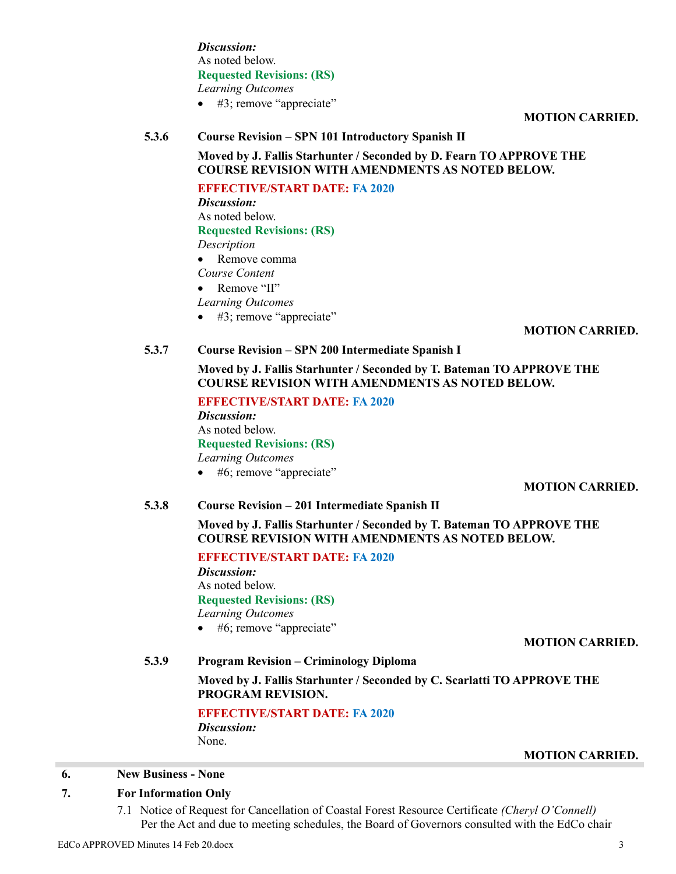*Discussion:* As noted below. **Requested Revisions: (RS)** *Learning Outcomes*  $\bullet$  #3; remove "appreciate"

**MOTION CARRIED.**

# **5.3.6 Course Revision – SPN 101 Introductory Spanish II Moved by J. Fallis Starhunter / Seconded by D. Fearn TO APPROVE THE**

**COURSE REVISION WITH AMENDMENTS AS NOTED BELOW.**

**EFFECTIVE/START DATE: FA 2020** *Discussion:* As noted below. **Requested Revisions: (RS)** *Description* • Remove comma *Course Content* • Remove "II"

#### *Learning Outcomes*

• #3; remove "appreciate"

# **MOTION CARRIED.**

# **5.3.7 Course Revision – SPN 200 Intermediate Spanish I**

**Moved by J. Fallis Starhunter / Seconded by T. Bateman TO APPROVE THE COURSE REVISION WITH AMENDMENTS AS NOTED BELOW.**

**EFFECTIVE/START DATE: FA 2020** *Discussion:* As noted below. **Requested Revisions: (RS)** *Learning Outcomes*

• #6; remove "appreciate"

# **MOTION CARRIED.**

# **5.3.8 Course Revision – 201 Intermediate Spanish II**

**Moved by J. Fallis Starhunter / Seconded by T. Bateman TO APPROVE THE COURSE REVISION WITH AMENDMENTS AS NOTED BELOW.**

**EFFECTIVE/START DATE: FA 2020**

*Discussion:* As noted below. **Requested Revisions: (RS)** *Learning Outcomes*

• #6; remove "appreciate"

#### **MOTION CARRIED.**

# **5.3.9 Program Revision – Criminology Diploma**

**Moved by J. Fallis Starhunter / Seconded by C. Scarlatti TO APPROVE THE PROGRAM REVISION.**

**EFFECTIVE/START DATE: FA 2020** *Discussion:* None.

#### **MOTION CARRIED.**

# **6. New Business - None**

# **7. For Information Only**

7.1 Notice of Request for Cancellation of Coastal Forest Resource Certificate *(Cheryl O'Connell)* Per the Act and due to meeting schedules, the Board of Governors consulted with the EdCo chair